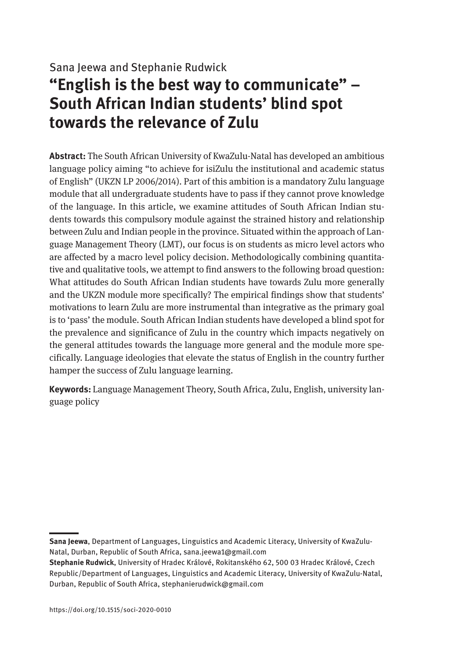# Sana Jeewa and Stephanie Rudwick **"English is the best way to communicate" – South African Indian students' blind spot towards the relevance of Zulu**

**Abstract:** The South African University of KwaZulu-Natal has developed an ambitious language policy aiming "to achieve for isiZulu the institutional and academic status of English" (UKZN LP 2006/2014). Part of this ambition is a mandatory Zulu language module that all undergraduate students have to pass if they cannot prove knowledge of the language. In this article, we examine attitudes of South African Indian students towards this compulsory module against the strained history and relationship between Zulu and Indian people in the province. Situated within the approach of Language Management Theory (LMT), our focus is on students as micro level actors who are affected by a macro level policy decision. Methodologically combining quantitative and qualitative tools, we attempt to find answers to the following broad question: What attitudes do South African Indian students have towards Zulu more generally and the UKZN module more specifically? The empirical findings show that students' motivations to learn Zulu are more instrumental than integrative as the primary goal is to 'pass' the module. South African Indian students have developed a blind spot for the prevalence and significance of Zulu in the country which impacts negatively on the general attitudes towards the language more general and the module more specifically. Language ideologies that elevate the status of English in the country further hamper the success of Zulu language learning.

**Keywords:** Language Management Theory, South Africa, Zulu, English, university language policy

**Sana Jeewa**, Department of Languages, Linguistics and Academic Literacy, University of KwaZulu-Natal, Durban, Republic of South Africa, [sana.jeewa1@gmail.com](mailto:sana.jeewa1@gmail.com)

**Stephanie Rudwick**, University of Hradec Králové, Rokitanského 62, 500 03 Hradec Králové, Czech Republic/Department of Languages, Linguistics and Academic Literacy, University of KwaZulu-Natal, Durban, Republic of South Africa, [stephanierudwick@gmail.com](mailto:stephanierudwick@gmail.com)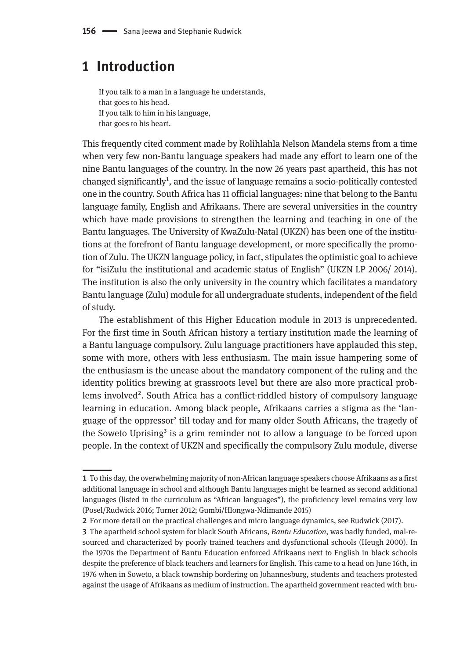## **1 Introduction**

If you talk to a man in a language he understands, that goes to his head. If you talk to him in his language, that goes to his heart.

This frequently cited comment made by Rolihlahla Nelson Mandela stems from a time when very few non-Bantu language speakers had made any effort to learn one of the nine Bantu languages of the country. In the now 26 years past apartheid, this has not changed significantly<sup>1</sup>, and the issue of language remains a socio-politically contested one in the country. South Africa has 11 official languages: nine that belong to the Bantu language family, English and Afrikaans. There are several universities in the country which have made provisions to strengthen the learning and teaching in one of the Bantu languages. The University of KwaZulu-Natal (UKZN) has been one of the institutions at the forefront of Bantu language development, or more specifically the promotion of Zulu. The UKZN language policy, in fact, stipulates the optimistic goal to achieve for "isiZulu the institutional and academic status of English" (UKZN LP 2006/ 2014). The institution is also the only university in the country which facilitates a mandatory Bantu language (Zulu) module for all undergraduate students, independent of the field of study.

The establishment of this Higher Education module in 2013 is unprecedented. For the first time in South African history a tertiary institution made the learning of a Bantu language compulsory. Zulu language practitioners have applauded this step, some with more, others with less enthusiasm. The main issue hampering some of the enthusiasm is the unease about the mandatory component of the ruling and the identity politics brewing at grassroots level but there are also more practical problems involved<sup>2</sup>. South Africa has a conflict-riddled history of compulsory language learning in education. Among black people, Afrikaans carries a stigma as the 'language of the oppressor' till today and for many older South Africans, the tragedy of the Soweto Uprising<sup>3</sup> is a grim reminder not to allow a language to be forced upon people. In the context of UKZN and specifically the compulsory Zulu module, diverse

**<sup>1</sup>** To this day, the overwhelming majority of non-African language speakers choose Afrikaans as a first additional language in school and although Bantu languages might be learned as second additional languages (listed in the curriculum as "African languages"), the proficiency level remains very low (Posel/Rudwick 2016; Turner 2012; Gumbi/Hlongwa-Ndimande 2015)

**<sup>2</sup>** For more detail on the practical challenges and micro language dynamics, see Rudwick (2017).

**<sup>3</sup>** The apartheid school system for black South Africans, *Bantu Education*, was badly funded, mal-resourced and characterized by poorly trained teachers and dysfunctional schools (Heugh 2000). In the 1970s the Department of Bantu Education enforced Afrikaans next to English in black schools despite the preference of black teachers and learners for English. This came to a head on June 16th, in 1976 when in Soweto, a black township bordering on Johannesburg, students and teachers protested against the usage of Afrikaans as medium of instruction. The apartheid government reacted with bru-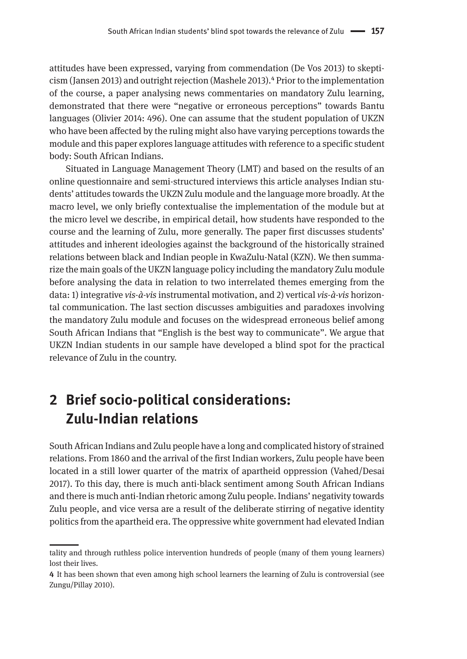attitudes have been expressed, varying from commendation (De Vos 2013) to skepticism (Jansen 2013) and outright rejection (Mashele 2013).4 Prior to the implementation of the course, a paper analysing news commentaries on mandatory Zulu learning, demonstrated that there were "negative or erroneous perceptions" towards Bantu languages (Olivier 2014: 496). One can assume that the student population of UKZN who have been affected by the ruling might also have varying perceptions towards the module and this paper explores language attitudes with reference to a specific student body: South African Indians.

Situated in Language Management Theory (LMT) and based on the results of an online questionnaire and semi-structured interviews this article analyses Indian students' attitudes towards the UKZN Zulu module and the language more broadly. At the macro level, we only briefly contextualise the implementation of the module but at the micro level we describe, in empirical detail, how students have responded to the course and the learning of Zulu, more generally. The paper first discusses students' attitudes and inherent ideologies against the background of the historically strained relations between black and Indian people in KwaZulu-Natal (KZN). We then summarize the main goals of the UKZN language policy including the mandatory Zulu module before analysing the data in relation to two interrelated themes emerging from the data: 1) integrative *vis-à-vis* instrumental motivation, and 2) vertical *vis-à-vis* horizontal communication. The last section discusses ambiguities and paradoxes involving the mandatory Zulu module and focuses on the widespread erroneous belief among South African Indians that "English is the best way to communicate". We argue that UKZN Indian students in our sample have developed a blind spot for the practical relevance of Zulu in the country.

# **2 Brief socio-political considerations: Zulu-Indian relations**

South African Indians and Zulu people have a long and complicated history of strained relations. From 1860 and the arrival of the first Indian workers, Zulu people have been located in a still lower quarter of the matrix of apartheid oppression (Vahed/Desai 2017). To this day, there is much anti-black sentiment among South African Indians and there is much anti-Indian rhetoric among Zulu people. Indians' negativity towards Zulu people, and vice versa are a result of the deliberate stirring of negative identity politics from the apartheid era. The oppressive white government had elevated Indian

tality and through ruthless police intervention hundreds of people (many of them young learners) lost their lives.

**<sup>4</sup>** It has been shown that even among high school learners the learning of Zulu is controversial (see Zungu/Pillay 2010).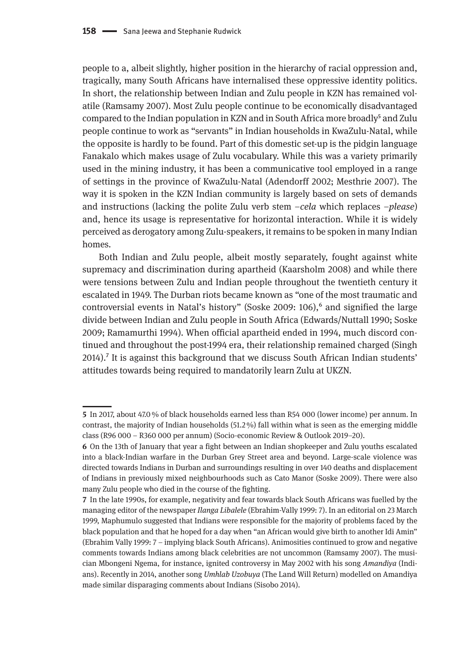people to a, albeit slightly, higher position in the hierarchy of racial oppression and, tragically, many South Africans have internalised these oppressive identity politics. In short, the relationship between Indian and Zulu people in KZN has remained volatile (Ramsamy 2007). Most Zulu people continue to be economically disadvantaged compared to the Indian population in KZN and in South Africa more broadly<sup>5</sup> and Zulu people continue to work as "servants" in Indian households in KwaZulu-Natal, while the opposite is hardly to be found. Part of this domestic set-up is the pidgin language Fanakalo which makes usage of Zulu vocabulary. While this was a variety primarily used in the mining industry, it has been a communicative tool employed in a range of settings in the province of KwaZulu-Natal (Adendorff 2002; Mesthrie 2007). The way it is spoken in the KZN Indian community is largely based on sets of demands and instructions (lacking the polite Zulu verb stem *–cela* which replaces –*please*) and, hence its usage is representative for horizontal interaction. While it is widely perceived as derogatory among Zulu-speakers, it remains to be spoken in many Indian homes.

Both Indian and Zulu people, albeit mostly separately, fought against white supremacy and discrimination during apartheid (Kaarsholm 2008) and while there were tensions between Zulu and Indian people throughout the twentieth century it escalated in 1949. The Durban riots became known as "one of the most traumatic and controversial events in Natal's history" (Soske 2009:  $106$ ),<sup>6</sup> and signified the large divide between Indian and Zulu people in South Africa (Edwards/Nuttall 1990; Soske 2009; Ramamurthi 1994). When official apartheid ended in 1994, much discord continued and throughout the post-1994 era, their relationship remained charged (Singh 2014).<sup>7</sup> It is against this background that we discuss South African Indian students' attitudes towards being required to mandatorily learn Zulu at UKZN.

**<sup>5</sup>** In 2017, about 47.0 % of black households earned less than R54 000 (lower income) per annum. In contrast, the majority of Indian households (51.2 %) fall within what is seen as the emerging middle class (R96 000 – R360 000 per annum) (Socio-economic Review & Outlook 2019–20).

**<sup>6</sup>** On the 13th of January that year a fight between an Indian shopkeeper and Zulu youths escalated into a black-Indian warfare in the Durban Grey Street area and beyond. Large-scale violence was directed towards Indians in Durban and surroundings resulting in over 140 deaths and displacement of Indians in previously mixed neighbourhoods such as Cato Manor (Soske 2009). There were also many Zulu people who died in the course of the fighting.

**<sup>7</sup>** In the late 1990s, for example, negativity and fear towards black South Africans was fuelled by the managing editor of the newspaper *Ilanga Libalele* (Ebrahim-Vally 1999: 7). In an editorial on 23 March 1999, Maphumulo suggested that Indians were responsible for the majority of problems faced by the black population and that he hoped for a day when "an African would give birth to another Idi Amin" (Ebrahim Vally 1999: 7 – implying black South Africans). Animosities continued to grow and negative comments towards Indians among black celebrities are not uncommon (Ramsamy 2007). The musician Mbongeni Ngema, for instance, ignited controversy in May 2002 with his song *Amandiya* (Indians). Recently in 2014, another song *Umhlab Uzobuya* (The Land Will Return) modelled on Amandiya made similar disparaging comments about Indians (Sisobo 2014).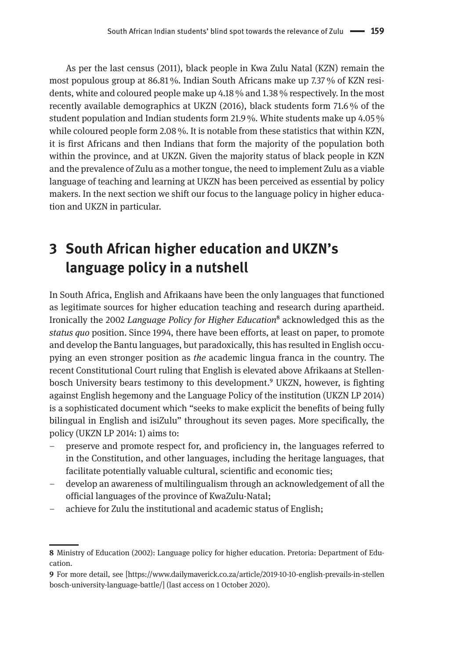As per the last census (2011), black people in Kwa Zulu Natal (KZN) remain the most populous group at 86.81 %. Indian South Africans make up 7.37 % of KZN residents, white and coloured people make up 4.18 % and 1.38 % respectively. In the most recently available demographics at UKZN (2016), black students form 71.6 % of the student population and Indian students form 21.9 %. White students make up 4.05 % while coloured people form 2.08 %. It is notable from these statistics that within KZN, it is first Africans and then Indians that form the majority of the population both within the province, and at UKZN. Given the majority status of black people in KZN and the prevalence of Zulu as a mother tongue, the need to implement Zulu as a viable language of teaching and learning at UKZN has been perceived as essential by policy makers. In the next section we shift our focus to the language policy in higher education and UKZN in particular.

# **3 South African higher education and UKZN's language policy in a nutshell**

In South Africa, English and Afrikaans have been the only languages that functioned as legitimate sources for higher education teaching and research during apartheid. Ironically the 2002 *Language Policy for Higher Education*8 acknowledged this as the *status quo* position. Since 1994, there have been efforts, at least on paper, to promote and develop the Bantu languages, but paradoxically, this has resulted in English occupying an even stronger position as *the* academic lingua franca in the country. The recent Constitutional Court ruling that English is elevated above Afrikaans at Stellenbosch University bears testimony to this development.<sup>9</sup> UKZN, however, is fighting against English hegemony and the Language Policy of the institution (UKZN LP 2014) is a sophisticated document which "seeks to make explicit the benefits of being fully bilingual in English and isiZulu" throughout its seven pages. More specifically, the policy (UKZN LP 2014: 1) aims to:

- preserve and promote respect for, and proficiency in, the languages referred to in the Constitution, and other languages, including the heritage languages, that facilitate potentially valuable cultural, scientific and economic ties;
- develop an awareness of multilingualism through an acknowledgement of all the official languages of the province of KwaZulu-Natal;
- achieve for Zulu the institutional and academic status of English;

**<sup>8</sup>** Ministry of Education (2002): Language policy for higher education. Pretoria: Department of Education.

**<sup>9</sup>** For more detail, see [[https://www.dailymaverick.co.za/article/2019-10-10-english-prevails-in-stellen](https://www.dailymaverick.co.za/article/2019-10-10-english-prevails-in-stellenbosch-university-language-battle) [bosch-university-language-battle/](https://www.dailymaverick.co.za/article/2019-10-10-english-prevails-in-stellenbosch-university-language-battle)] (last access on 1 October 2020).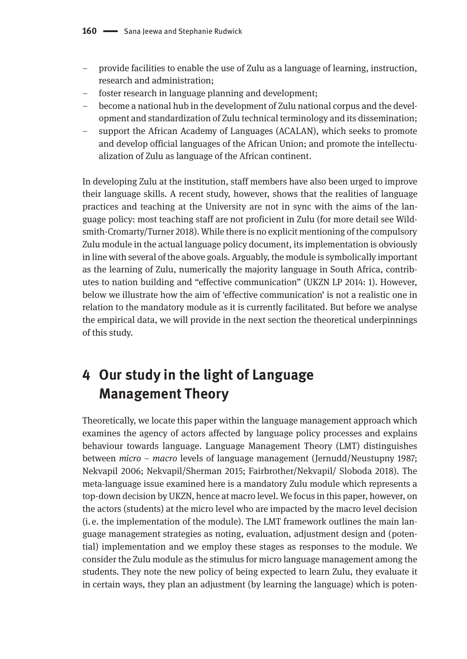- provide facilities to enable the use of Zulu as a language of learning, instruction, research and administration;
- foster research in language planning and development;
- become a national hub in the development of Zulu national corpus and the development and standardization of Zulu technical terminology and its dissemination;
- support the African Academy of Languages (ACALAN), which seeks to promote and develop official languages of the African Union; and promote the intellectualization of Zulu as language of the African continent.

In developing Zulu at the institution, staff members have also been urged to improve their language skills. A recent study, however, shows that the realities of language practices and teaching at the University are not in sync with the aims of the language policy: most teaching staff are not proficient in Zulu (for more detail see Wildsmith-Cromarty/Turner 2018). While there is no explicit mentioning of the compulsory Zulu module in the actual language policy document, its implementation is obviously in line with several of the above goals. Arguably, the module is symbolically important as the learning of Zulu, numerically the majority language in South Africa, contributes to nation building and "effective communication" (UKZN LP 2014: 1). However, below we illustrate how the aim of 'effective communication' is not a realistic one in relation to the mandatory module as it is currently facilitated. But before we analyse the empirical data, we will provide in the next section the theoretical underpinnings of this study.

# **4 Our study in the light of Language Management Theory**

Theoretically, we locate this paper within the language management approach which examines the agency of actors affected by language policy processes and explains behaviour towards language. Language Management Theory (LMT) distinguishes between *micro – macro* levels of language management (Jernudd/Neustupny 1987; Nekvapil 2006; Nekvapil/Sherman 2015; Fairbrother/Nekvapil/ Sloboda 2018). The meta-language issue examined here is a mandatory Zulu module which represents a top-down decision by UKZN, hence at macro level. We focus in this paper, however, on the actors (students) at the micro level who are impacted by the macro level decision (i. e. the implementation of the module). The LMT framework outlines the main language management strategies as noting, evaluation, adjustment design and (potential) implementation and we employ these stages as responses to the module. We consider the Zulu module as the stimulus for micro language management among the students. They note the new policy of being expected to learn Zulu, they evaluate it in certain ways, they plan an adjustment (by learning the language) which is poten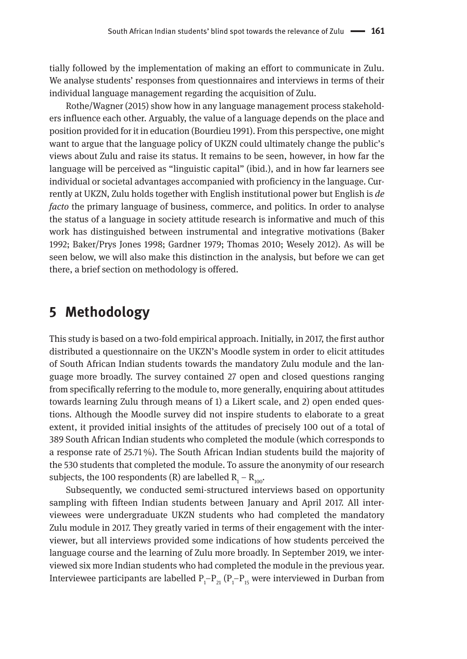tially followed by the implementation of making an effort to communicate in Zulu. We analyse students' responses from questionnaires and interviews in terms of their individual language management regarding the acquisition of Zulu.

Rothe/Wagner (2015) show how in any language management process stakeholders influence each other. Arguably, the value of a language depends on the place and position provided for it in education (Bourdieu 1991). From this perspective, one might want to argue that the language policy of UKZN could ultimately change the public's views about Zulu and raise its status. It remains to be seen, however, in how far the language will be perceived as "linguistic capital" (ibid.), and in how far learners see individual or societal advantages accompanied with proficiency in the language. Currently at UKZN, Zulu holds together with English institutional power but English is *de facto* the primary language of business, commerce, and politics. In order to analyse the status of a language in society attitude research is informative and much of this work has distinguished between instrumental and integrative motivations (Baker 1992; Baker/Prys Jones 1998; Gardner 1979; Thomas 2010; Wesely 2012). As will be seen below, we will also make this distinction in the analysis, but before we can get there, a brief section on methodology is offered.

### **5 Methodology**

This study is based on a two-fold empirical approach. Initially, in 2017, the first author distributed a questionnaire on the UKZN's Moodle system in order to elicit attitudes of South African Indian students towards the mandatory Zulu module and the language more broadly. The survey contained 27 open and closed questions ranging from specifically referring to the module to, more generally, enquiring about attitudes towards learning Zulu through means of 1) a Likert scale, and 2) open ended questions. Although the Moodle survey did not inspire students to elaborate to a great extent, it provided initial insights of the attitudes of precisely 100 out of a total of 389 South African Indian students who completed the module (which corresponds to a response rate of 25.71 %). The South African Indian students build the majority of the 530 students that completed the module. To assure the anonymity of our research subjects, the 100 respondents (R) are labelled  $\rm R_{_1}$  –  $\rm R_{_{100}}$ .

Subsequently, we conducted semi-structured interviews based on opportunity sampling with fifteen Indian students between January and April 2017. All interviewees were undergraduate UKZN students who had completed the mandatory Zulu module in 2017. They greatly varied in terms of their engagement with the interviewer, but all interviews provided some indications of how students perceived the language course and the learning of Zulu more broadly. In September 2019, we interviewed six more Indian students who had completed the module in the previous year. Interviewee participants are labelled  $\rm P_i\rm-P_{21}$  ( $\rm P_i\rm-P_{15}$  were interviewed in Durban from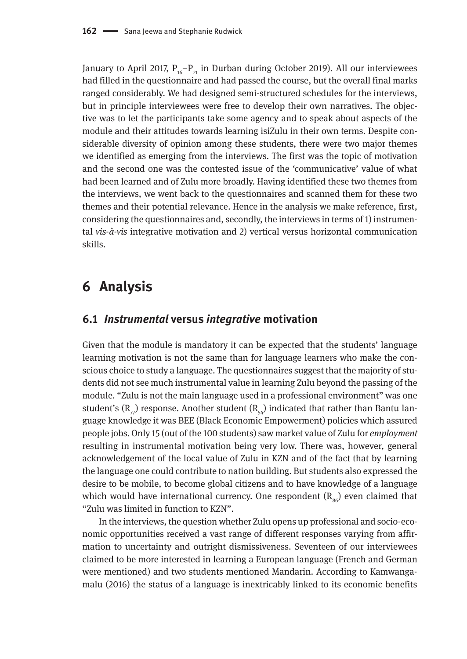January to April 2017,  $P_{16}-P_{21}$  in Durban during October 2019). All our interviewees had filled in the questionnaire and had passed the course, but the overall final marks ranged considerably. We had designed semi-structured schedules for the interviews, but in principle interviewees were free to develop their own narratives. The objective was to let the participants take some agency and to speak about aspects of the module and their attitudes towards learning isiZulu in their own terms. Despite considerable diversity of opinion among these students, there were two major themes we identified as emerging from the interviews. The first was the topic of motivation and the second one was the contested issue of the 'communicative' value of what had been learned and of Zulu more broadly. Having identified these two themes from the interviews, we went back to the questionnaires and scanned them for these two themes and their potential relevance. Hence in the analysis we make reference, first, considering the questionnaires and, secondly, the interviews in terms of 1) instrumental *vis-à-vis* integrative motivation and 2) vertical versus horizontal communication skills.

### **6 Analysis**

#### **6.1** *Instrumental* **versus** *integrative* **motivation**

Given that the module is mandatory it can be expected that the students' language learning motivation is not the same than for language learners who make the conscious choice to study a language. The questionnaires suggest that the majority of students did not see much instrumental value in learning Zulu beyond the passing of the module. "Zulu is not the main language used in a professional environment" was one student's  $(R_{77})$  response. Another student  $(R_{54})$  indicated that rather than Bantu language knowledge it was BEE (Black Economic Empowerment) policies which assured people jobs. Only 15 (out of the 100 students) saw market value of Zulu for *employment* resulting in instrumental motivation being very low. There was, however, general acknowledgement of the local value of Zulu in KZN and of the fact that by learning the language one could contribute to nation building. But students also expressed the desire to be mobile, to become global citizens and to have knowledge of a language which would have international currency. One respondent  $(R_{00})$  even claimed that "Zulu was limited in function to KZN".

In the interviews, the question whether Zulu opens up professional and socio-economic opportunities received a vast range of different responses varying from affirmation to uncertainty and outright dismissiveness. Seventeen of our interviewees claimed to be more interested in learning a European language (French and German were mentioned) and two students mentioned Mandarin. According to Kamwangamalu (2016) the status of a language is inextricably linked to its economic benefits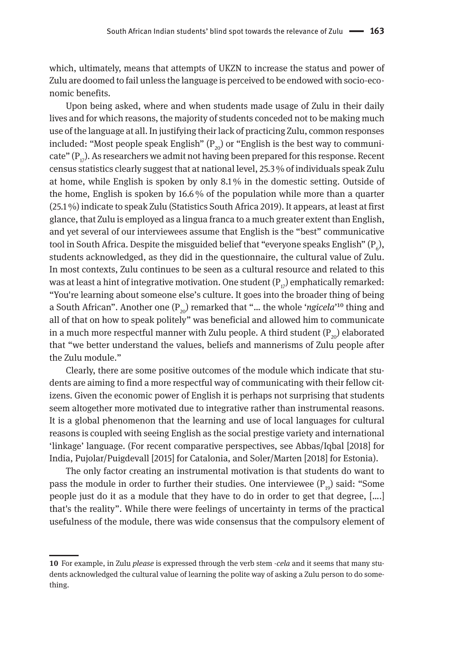which, ultimately, means that attempts of UKZN to increase the status and power of Zulu are doomed to fail unless the language is perceived to be endowed with socio-economic benefits.

Upon being asked, where and when students made usage of Zulu in their daily lives and for which reasons, the majority of students conceded not to be making much use of the language at all. In justifying their lack of practicing Zulu, common responses included: "Most people speak English"  $(P_{20})$  or "English is the best way to communicate"  $(P_{17})$ . As researchers we admit not having been prepared for this response. Recent census statistics clearly suggest that at national level, 25.3 % of individuals speak Zulu at home, while English is spoken by only 8.1 % in the domestic setting. Outside of the home, English is spoken by 16.6 % of the population while more than a quarter (25.1 %) indicate to speak Zulu (Statistics South Africa 2019). It appears, at least at first glance, that Zulu is employed as a lingua franca to a much greater extent than English, and yet several of our interviewees assume that English is the "best" communicative tool in South Africa. Despite the misguided belief that "everyone speaks English" (P $_{\rm e}$ ), students acknowledged, as they did in the questionnaire, the cultural value of Zulu. In most contexts, Zulu continues to be seen as a cultural resource and related to this was at least a hint of integrative motivation. One student  $(P_{17})$  emphatically remarked: "You're learning about someone else's culture. It goes into the broader thing of being a South African". Another one  $(P_{20})$  remarked that "... the whole '*ngicela*'<sup>10</sup> thing and all of that on how to speak politely" was beneficial and allowed him to communicate in a much more respectful manner with Zulu people. A third student  $(P_{20})$  elaborated that "we better understand the values, beliefs and mannerisms of Zulu people after the Zulu module."

Clearly, there are some positive outcomes of the module which indicate that students are aiming to find a more respectful way of communicating with their fellow citizens. Given the economic power of English it is perhaps not surprising that students seem altogether more motivated due to integrative rather than instrumental reasons. It is a global phenomenon that the learning and use of local languages for cultural reasons is coupled with seeing English as the social prestige variety and international 'linkage' language. (For recent comparative perspectives, see Abbas/Iqbal [2018] for India, Pujolar/Puigdevall [2015] for Catalonia, and Soler/Marten [2018] for Estonia).

The only factor creating an instrumental motivation is that students do want to pass the module in order to further their studies. One interviewee  $(P_{10})$  said: "Some people just do it as a module that they have to do in order to get that degree, [….] that's the reality". While there were feelings of uncertainty in terms of the practical usefulness of the module, there was wide consensus that the compulsory element of

**<sup>10</sup>** For example, in Zulu *please* is expressed through the verb stem -*cela* and it seems that many students acknowledged the cultural value of learning the polite way of asking a Zulu person to do something.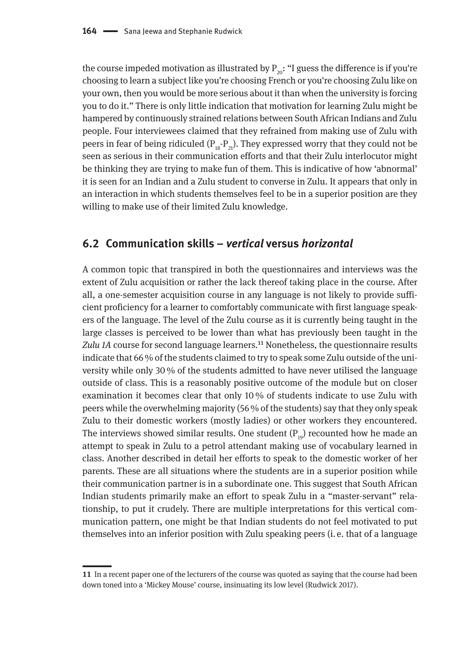the course impeded motivation as illustrated by  $P_{20}$ : "I guess the difference is if you're choosing to learn a subject like you're choosing French or you're choosing Zulu like on your own, then you would be more serious about it than when the university is forcing you to do it." There is only little indication that motivation for learning Zulu might be hampered by continuously strained relations between South African Indians and Zulu people. Four interviewees claimed that they refrained from making use of Zulu with peers in fear of being ridiculed  $(P_{18}-P_{21})$ . They expressed worry that they could not be seen as serious in their communication efforts and that their Zulu interlocutor might be thinking they are trying to make fun of them. This is indicative of how 'abnormal' it is seen for an Indian and a Zulu student to converse in Zulu. It appears that only in an interaction in which students themselves feel to be in a superior position are they willing to make use of their limited Zulu knowledge.

#### **6.2 Communication skills –** *vertical* **versus** *horizontal*

A common topic that transpired in both the questionnaires and interviews was the extent of Zulu acquisition or rather the lack thereof taking place in the course. After all, a one-semester acquisition course in any language is not likely to provide sufficient proficiency for a learner to comfortably communicate with first language speakers of the language. The level of the Zulu course as it is currently being taught in the large classes is perceived to be lower than what has previously been taught in the Zulu 1A course for second language learners.<sup>11</sup> Nonetheless, the questionnaire results indicate that 66 % of the students claimed to try to speak some Zulu outside of the university while only 30 % of the students admitted to have never utilised the language outside of class. This is a reasonably positive outcome of the module but on closer examination it becomes clear that only 10 % of students indicate to use Zulu with peers while the overwhelming majority (56 % of the students) say that they only speak Zulu to their domestic workers (mostly ladies) or other workers they encountered. The interviews showed similar results. One student  $(P_{10})$  recounted how he made an attempt to speak in Zulu to a petrol attendant making use of vocabulary learned in class. Another described in detail her efforts to speak to the domestic worker of her parents. These are all situations where the students are in a superior position while their communication partner is in a subordinate one. This suggest that South African Indian students primarily make an effort to speak Zulu in a "master-servant" relationship, to put it crudely. There are multiple interpretations for this vertical communication pattern, one might be that Indian students do not feel motivated to put themselves into an inferior position with Zulu speaking peers (i. e. that of a language

**<sup>11</sup>** In a recent paper one of the lecturers of the course was quoted as saying that the course had been down toned into a 'Mickey Mouse' course, insinuating its low level (Rudwick 2017).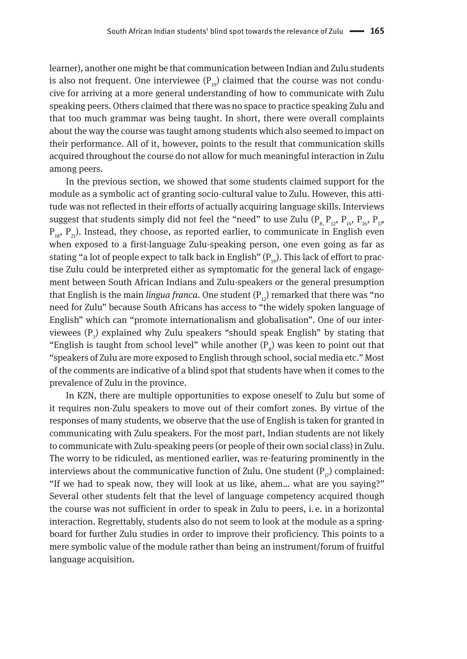learner), another one might be that communication between Indian and Zulu students is also not frequent. One interviewee  $(P_{19})$  claimed that the course was not conducive for arriving at a more general understanding of how to communicate with Zulu speaking peers. Others claimed that there was no space to practice speaking Zulu and that too much grammar was being taught. In short, there were overall complaints about the way the course was taught among students which also seemed to impact on their performance. All of it, however, points to the result that communication skills acquired throughout the course do not allow for much meaningful interaction in Zulu among peers.

In the previous section, we showed that some students claimed support for the module as a symbolic act of granting socio-cultural value to Zulu. However, this attitude was not reflected in their efforts of actually acquiring language skills. Interviews suggest that students simply did not feel the "need" to use Zulu ( $P_8$ ,  $P_{12}$ ,  $P_{14}$ ,  $P_{16}$ ,  $P_{17}$ ,  $P_{10}$ ,  $P_{21}$ ). Instead, they choose, as reported earlier, to communicate in English even when exposed to a first-language Zulu-speaking person, one even going as far as stating "a lot of people expect to talk back in English"  $(P_{10})$ . This lack of effort to practise Zulu could be interpreted either as symptomatic for the general lack of engagement between South African Indians and Zulu-speakers or the general presumption that English is the main *lingua franca*. One student  $(P_{12})$  remarked that there was "no need for Zulu" because South Africans has access to "the widely spoken language of English" which can "promote internationalism and globalisation". One of our interviewees  $(P_3)$  explained why Zulu speakers "should speak English" by stating that "English is taught from school level" while another  $(P_{\text{g}})$  was keen to point out that "speakers of Zulu are more exposed to English through school, social media etc." Most of the comments are indicative of a blind spot that students have when it comes to the prevalence of Zulu in the province.

In KZN, there are multiple opportunities to expose oneself to Zulu but some of it requires non-Zulu speakers to move out of their comfort zones. By virtue of the responses of many students, we observe that the use of English is taken for granted in communicating with Zulu speakers. For the most part, Indian students are not likely to communicate with Zulu-speaking peers (or people of their own social class) in Zulu. The worry to be ridiculed, as mentioned earlier, was re-featuring prominently in the interviews about the communicative function of Zulu. One student  $(P_{17})$  complained: "If we had to speak now, they will look at us like, ahem… what are you saying?" Several other students felt that the level of language competency acquired though the course was not sufficient in order to speak in Zulu to peers, i. e. in a horizontal interaction. Regrettably, students also do not seem to look at the module as a springboard for further Zulu studies in order to improve their proficiency. This points to a mere symbolic value of the module rather than being an instrument/forum of fruitful language acquisition.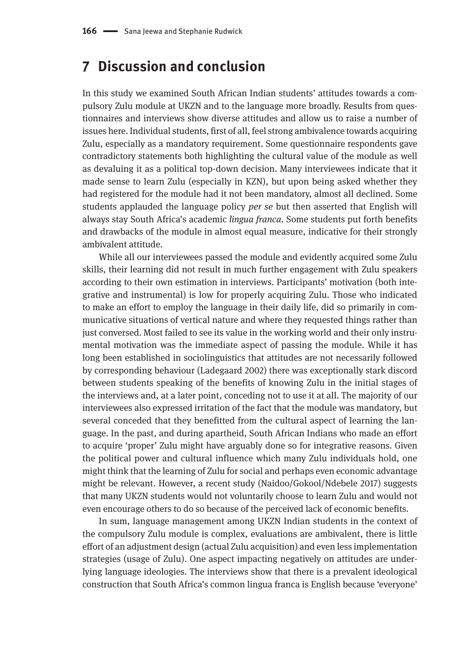### **7 Discussion and conclusion**

In this study we examined South African Indian students' attitudes towards a compulsory Zulu module at UKZN and to the language more broadly. Results from questionnaires and interviews show diverse attitudes and allow us to raise a number of issues here. Individual students, first of all, feel strong ambivalence towards acquiring Zulu, especially as a mandatory requirement. Some questionnaire respondents gave contradictory statements both highlighting the cultural value of the module as well as devaluing it as a political top-down decision. Many interviewees indicate that it made sense to learn Zulu (especially in KZN), but upon being asked whether they had registered for the module had it not been mandatory, almost all declined. Some students applauded the language policy *per se* but then asserted that English will always stay South Africa's academic *lingua franca*. Some students put forth benefits and drawbacks of the module in almost equal measure, indicative for their strongly ambivalent attitude.

While all our interviewees passed the module and evidently acquired some Zulu skills, their learning did not result in much further engagement with Zulu speakers according to their own estimation in interviews. Participants' motivation (both integrative and instrumental) is low for properly acquiring Zulu. Those who indicated to make an effort to employ the language in their daily life, did so primarily in communicative situations of vertical nature and where they requested things rather than just conversed. Most failed to see its value in the working world and their only instrumental motivation was the immediate aspect of passing the module. While it has long been established in sociolinguistics that attitudes are not necessarily followed by corresponding behaviour (Ladegaard 2002) there was exceptionally stark discord between students speaking of the benefits of knowing Zulu in the initial stages of the interviews and, at a later point, conceding not to use it at all. The majority of our interviewees also expressed irritation of the fact that the module was mandatory, but several conceded that they benefitted from the cultural aspect of learning the language. In the past, and during apartheid, South African Indians who made an effort to acquire 'proper' Zulu might have arguably done so for integrative reasons. Given the political power and cultural influence which many Zulu individuals hold, one might think that the learning of Zulu for social and perhaps even economic advantage might be relevant. However, a recent study (Naidoo/Gokool/Ndebele 2017) suggests that many UKZN students would not voluntarily choose to learn Zulu and would not even encourage others to do so because of the perceived lack of economic benefits.

In sum, language management among UKZN Indian students in the context of the compulsory Zulu module is complex, evaluations are ambivalent, there is little effort of an adjustment design (actual Zulu acquisition) and even less implementation strategies (usage of Zulu). One aspect impacting negatively on attitudes are underlying language ideologies. The interviews show that there is a prevalent ideological construction that South Africa's common lingua franca is English because 'everyone'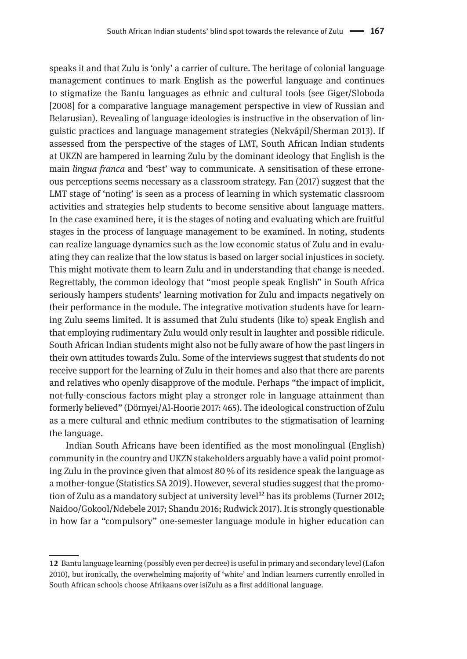speaks it and that Zulu is 'only' a carrier of culture. The heritage of colonial language management continues to mark English as the powerful language and continues to stigmatize the Bantu languages as ethnic and cultural tools (see Giger/Sloboda [2008] for a comparative language management perspective in view of Russian and Belarusian). Revealing of language ideologies is instructive in the observation of linguistic practices and language management strategies (Nekvápil/Sherman 2013). If assessed from the perspective of the stages of LMT, South African Indian students at UKZN are hampered in learning Zulu by the dominant ideology that English is the main *lingua franca* and 'best' way to communicate. A sensitisation of these erroneous perceptions seems necessary as a classroom strategy. Fan (2017) suggest that the LMT stage of 'noting' is seen as a process of learning in which systematic classroom activities and strategies help students to become sensitive about language matters. In the case examined here, it is the stages of noting and evaluating which are fruitful stages in the process of language management to be examined. In noting, students can realize language dynamics such as the low economic status of Zulu and in evaluating they can realize that the low status is based on larger social injustices in society. This might motivate them to learn Zulu and in understanding that change is needed. Regrettably, the common ideology that "most people speak English" in South Africa seriously hampers students' learning motivation for Zulu and impacts negatively on their performance in the module. The integrative motivation students have for learning Zulu seems limited. It is assumed that Zulu students (like to) speak English and that employing rudimentary Zulu would only result in laughter and possible ridicule. South African Indian students might also not be fully aware of how the past lingers in their own attitudes towards Zulu. Some of the interviews suggest that students do not receive support for the learning of Zulu in their homes and also that there are parents and relatives who openly disapprove of the module. Perhaps "the impact of implicit, not-fully-conscious factors might play a stronger role in language attainment than formerly believed" (Dörnyei/Al-Hoorie 2017: 465). The ideological construction of Zulu as a mere cultural and ethnic medium contributes to the stigmatisation of learning the language.

Indian South Africans have been identified as the most monolingual (English) community in the country and UKZN stakeholders arguably have a valid point promoting Zulu in the province given that almost 80 % of its residence speak the language as a mother-tongue (Statistics SA 2019). However, several studies suggest that the promotion of Zulu as a mandatory subject at university level<sup>12</sup> has its problems (Turner 2012; Naidoo/Gokool/Ndebele 2017; Shandu 2016; Rudwick 2017). It is strongly questionable in how far a "compulsory" one-semester language module in higher education can

**<sup>12</sup>** Bantu language learning (possibly even per decree) is useful in primary and secondary level (Lafon 2010), but ironically, the overwhelming majority of 'white' and Indian learners currently enrolled in South African schools choose Afrikaans over isiZulu as a first additional language.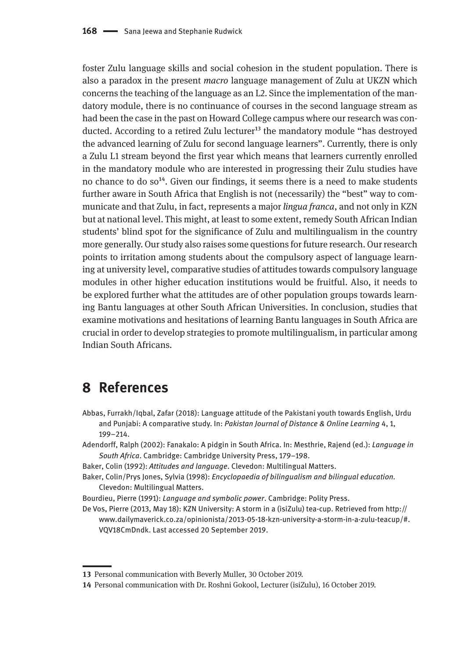foster Zulu language skills and social cohesion in the student population. There is also a paradox in the present *macro* language management of Zulu at UKZN which concerns the teaching of the language as an L2. Since the implementation of the mandatory module, there is no continuance of courses in the second language stream as had been the case in the past on Howard College campus where our research was conducted. According to a retired Zulu lecturer<sup>13</sup> the mandatory module "has destroyed the advanced learning of Zulu for second language learners". Currently, there is only a Zulu L1 stream beyond the first year which means that learners currently enrolled in the mandatory module who are interested in progressing their Zulu studies have no chance to do  $so<sup>14</sup>$ . Given our findings, it seems there is a need to make students further aware in South Africa that English is not (necessarily) the "best" way to communicate and that Zulu, in fact, represents a major *lingua franca*, and not only in KZN but at national level. This might, at least to some extent, remedy South African Indian students' blind spot for the significance of Zulu and multilingualism in the country more generally. Our study also raises some questions for future research. Our research points to irritation among students about the compulsory aspect of language learning at university level, comparative studies of attitudes towards compulsory language modules in other higher education institutions would be fruitful. Also, it needs to be explored further what the attitudes are of other population groups towards learning Bantu languages at other South African Universities. In conclusion, studies that examine motivations and hesitations of learning Bantu languages in South Africa are crucial in order to develop strategies to promote multilingualism, in particular among Indian South Africans.

## **8 References**

- Abbas, Furrakh/Iqbal, Zafar (2018): Language attitude of the Pakistani youth towards English, Urdu and Punjabi: A comparative study. In: *Pakistan Journal of Distance & Online Learning* 4, 1, 199–214.
- Adendorff, Ralph (2002): Fanakalo: A pidgin in South Africa. In: Mesthrie, Rajend (ed.): *Language in South Africa*. Cambridge: Cambridge University Press, 179–198.
- Baker, Colin (1992): *Attitudes and language*. Clevedon: Multilingual Matters.
- Baker, Colin/Prys Jones, Sylvia (1998): *Encyclopaedia of bilingualism and bilingual education.*  Clevedon: Multilingual Matters.

Bourdieu, Pierre (1991): *Language and symbolic power*. Cambridge: Polity Press.

De Vos, Pierre (2013, May 18): KZN University: A storm in a (isiZulu) tea-cup. Retrieved from [http://](http://www.dailymaverick.co.za/opinionista/2013-05-18-kzn-university-a-storm-in-a-zulu-teacup/#.VQV18CmDndk) [www.dailymaverick.co.za/opinionista/2013-05-18-kzn-university-a-storm-in-a-zulu-teacup/#.](http://www.dailymaverick.co.za/opinionista/2013-05-18-kzn-university-a-storm-in-a-zulu-teacup/#.VQV18CmDndk) [VQV18CmDndk.](http://www.dailymaverick.co.za/opinionista/2013-05-18-kzn-university-a-storm-in-a-zulu-teacup/#.VQV18CmDndk) Last accessed 20 September 2019.

**<sup>13</sup>** Personal communication with Beverly Muller, 30 October 2019.

**<sup>14</sup>** Personal communication with Dr. Roshni Gokool, Lecturer (isiZulu), 16 October 2019.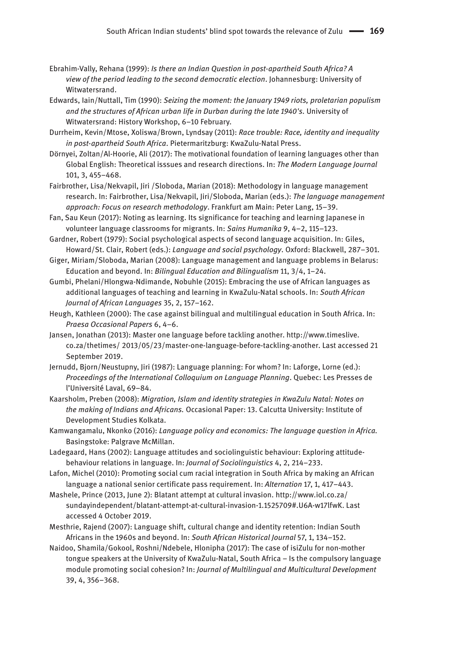- Ebrahim-Vally, Rehana (1999): *Is there an Indian Question in post-apartheid South Africa? A view of the period leading to the second democratic election*. Johannesburg: University of Witwatersrand.
- Edwards, Iain/Nuttall, Tim (1990): *Seizing the moment: the January 1949 riots, proletarian populism and the structures of African urban life in Durban during the late 1940's.* University of Witwatersrand: History Workshop, 6–10 February.
- Durrheim, Kevin/Mtose, Xoliswa/Brown, Lyndsay (2011): *Race trouble: Race, identity and inequality in post-apartheid South Africa*. Pietermaritzburg: KwaZulu-Natal Press.
- Dörnyei, Zoltan/Al-Hoorie, Ali (2017): The motivational foundation of learning languages other than Global English: Theoretical isssues and research directions. In: *The Modern Language Journal* 101, 3, 455–468.
- Fairbrother, Lisa/Nekvapil, Jiri /Sloboda, Marian (2018): Methodology in language management research. In: Fairbrother, Lisa/Nekvapil, Jiri/Sloboda, Marian (eds.): *The language management approach: Focus on research methodology*. Frankfurt am Main: Peter Lang, 15–39.
- Fan, Sau Keun (2017): Noting as learning. Its significance for teaching and learning Japanese in volunteer language classrooms for migrants. In: *Sains Humanika* 9, 4–2, 115–123.
- Gardner, Robert (1979): Social psychological aspects of second language acquisition. In: Giles, Howard/St. Clair, Robert (eds.): *Language and social psychology*. Oxford: Blackwell, 287–301.
- Giger, Miriam/Sloboda, Marian (2008): Language management and language problems in Belarus: Education and beyond. In: *Bilingual Education and Bilingualism* 11, 3/4, 1–24.
- Gumbi, Phelani/Hlongwa-Ndimande, Nobuhle (2015): Embracing the use of African languages as additional languages of teaching and learning in KwaZulu-Natal schools. In: *South African Journal of African Languages* 35, 2, 157–162.
- Heugh, Kathleen (2000): The case against bilingual and multilingual education in South Africa. In: *Praesa Occasional Papers* 6, 4–6.
- Jansen, Jonathan (2013): Master one language before tackling another. [http://www.timeslive.](http://www.timeslive.co.za/thetimes) [co.za/thetimes](http://www.timeslive.co.za/thetimes)/ 2013/05/23/master-one-language-before-tackling-another. Last accessed 21 September 2019.
- Jernudd, Bjorn/Neustupny, Jiri (1987): Language planning: For whom? In: Laforge, Lorne (ed.): *Proceedings of the International Colloquium on Language Planning*. Quebec: Les Presses de l'Université Laval, 69–84.
- Kaarsholm, Preben (2008): *Migration, Islam and identity strategies in KwaZulu Natal: Notes on the making of Indians and Africans.* Occasional Paper: 13. Calcutta University: Institute of Development Studies Kolkata.
- Kamwangamalu, Nkonko (2016): *Language policy and economics: The language question in Africa.* Basingstoke: Palgrave McMillan.
- Ladegaard, Hans (2002): Language attitudes and sociolinguistic behaviour: Exploring attitude‐ behaviour relations in language. In: *Journal of Sociolinguistics* 4, 2, 214–233.
- Lafon, Michel (2010): Promoting social cum racial integration in South Africa by making an African language a national senior certificate pass requirement. In: *Alternation* 17, 1, 417–443.
- Mashele, Prince (2013, June 2): Blatant attempt at cultural invasion. [http://www.iol.co.za/](http://www.iol.co.za/sundayindependent/blatant-attempt-at-cultural-invasion-1.1525709#.U6A-w17lfwK) [sundayindependent/blatant-attempt-at-cultural-invasion-1.1525709#.U6A-w17lfwK](http://www.iol.co.za/sundayindependent/blatant-attempt-at-cultural-invasion-1.1525709#.U6A-w17lfwK). Last accessed 4 October 2019.
- Mesthrie, Rajend (2007): Language shift, cultural change and identity retention: Indian South Africans in the 1960s and beyond. In: *South African Historical Journal* 57, 1, 134–152.
- Naidoo, Shamila/Gokool, Roshni/Ndebele, Hlonipha (2017): The case of isiZulu for non-mother tongue speakers at the University of KwaZulu-Natal, South Africa – Is the compulsory language module promoting social cohesion? In: *Journal of Multilingual and Multicultural Development* 39, 4, 356–368.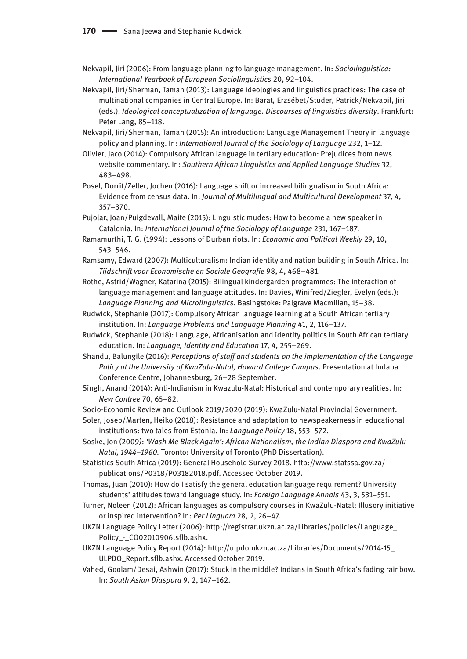- Nekvapil, Jiri (2006): From language planning to language management. In: *Sociolinguistica: International Yearbook of European Sociolinguistics* 20, 92–104.
- Nekvapil, Jiri/Sherman, Tamah (2013): Language ideologies and linguistics practices: The case of multinational companies in Central Europe. In: Barat*,* Erzsébet/Studer, Patrick/Nekvapil, Jiri (eds.): *Ideological conceptualization of language. Discourses of linguistics diversity*. Frankfurt: Peter Lang, 85–118.
- Nekvapil, Jiri/Sherman, Tamah (2015): An introduction: Language Management Theory in language policy and planning. In: *International Journal of the Sociology of Language* 232, 1–12.
- Olivier, Jaco (2014): Compulsory African language in tertiary education: Prejudices from news website commentary. In: *Southern African Linguistics and Applied Language Studies* 32, 483–498.
- Posel, Dorrit/Zeller, Jochen (2016): Language shift or increased bilingualism in South Africa: Evidence from census data. In: *Journal of Multilingual and Multicultural Development* 37, 4, 357–370.
- Pujolar, Joan/Puigdevall, Maite (2015): Linguistic mudes: How to become a new speaker in Catalonia. In: *International Journal of the Sociology of Language* 231, 167–187.
- Ramamurthi, T. G. (1994): Lessons of Durban riots. In: *Economic and Political Weekly* 29, 10, 543–546.
- Ramsamy, Edward (2007): Multiculturalism: Indian identity and nation building in South Africa. In: *Tijdschrift voor Economische en Sociale Geografie* 98, 4, 468–481.
- Rothe, Astrid/Wagner, Katarina (2015): Bilingual kindergarden programmes: The interaction of language management and language attitudes. In: Davies, Winifred/Ziegler, Evelyn (eds.): *Language Planning and Microlinguistics*. Basingstoke: Palgrave Macmillan, 15–38.
- Rudwick, Stephanie (2017): Compulsory African language learning at a South African tertiary institution. In: *Language Problems and Language Planning* 41, 2, 116–137.
- Rudwick, Stephanie (2018): Language, Africanisation and identity politics in South African tertiary education. In: *Language, Identity and Education* 17, 4, 255–269.
- Shandu, Balungile (2016): *Perceptions of staff and students on the implementation of the Language Policy at the University of KwaZulu-Natal, Howard College Campus*. Presentation at Indaba Conference Centre, Johannesburg, 26–28 September.
- Singh, Anand (2014): Anti-Indianism in Kwazulu-Natal: Historical and contemporary realities. In: *New Contree* 70, 65–82.
- Socio-Economic Review and Outlook 2019/2020 (2019): KwaZulu-Natal Provincial Government.
- Soler, Josep/Marten, Heiko (2018): Resistance and adaptation to newspeakerness in educational institutions: two tales from Estonia. In: *Language Policy* 18, 553–572.
- Soske, Jon (2009*)*: *'Wash Me Black Again': African Nationalism, the Indian Diaspora and KwaZulu Natal, 1944–1960.* Toronto: University of Toronto (PhD Dissertation).
- Statistics South Africa (2019): General Household Survey 2018. [http://www.statssa.gov.za/](http://www.statssa.gov.za/publications/P0318/P03182018.pdf) [publications/P0318/P03182018.pdf.](http://www.statssa.gov.za/publications/P0318/P03182018.pdf) Accessed October 2019.
- Thomas, Juan (2010): How do I satisfy the general education language requirement? University students' attitudes toward language study. In: *Foreign Language Annals* 43, 3, 531–551.
- Turner, Noleen (2012): African languages as compulsory courses in KwaZulu-Natal: Illusory initiative or inspired intervention? In: *Per Linguam* 28, 2, 26–47.
- UKZN Language Policy Letter (2006): [http://registrar.ukzn.ac.za/Libraries/policies/Language\\_](http://registrar.ukzn.ac.za/Libraries/policies/Language_Policy_-_CO02010906.sflb.ashx) Policy - CO02010906.sflb.ashx.
- UKZN Language Policy Report (2014): [http://ulpdo.ukzn.ac.za/Libraries/Documents/2014-15\\_](http://ulpdo.ukzn.ac.za/Libraries/Documents/2014-15_ULPDO_Report.sflb.ashx) [ULPDO\\_Report.sflb.ashx.](http://ulpdo.ukzn.ac.za/Libraries/Documents/2014-15_ULPDO_Report.sflb.ashx) Accessed October 2019.
- Vahed, Goolam/Desai, Ashwin (2017): Stuck in the middle? Indians in South Africa's fading rainbow. In: *South Asian Diaspora* 9, 2, 147–162.